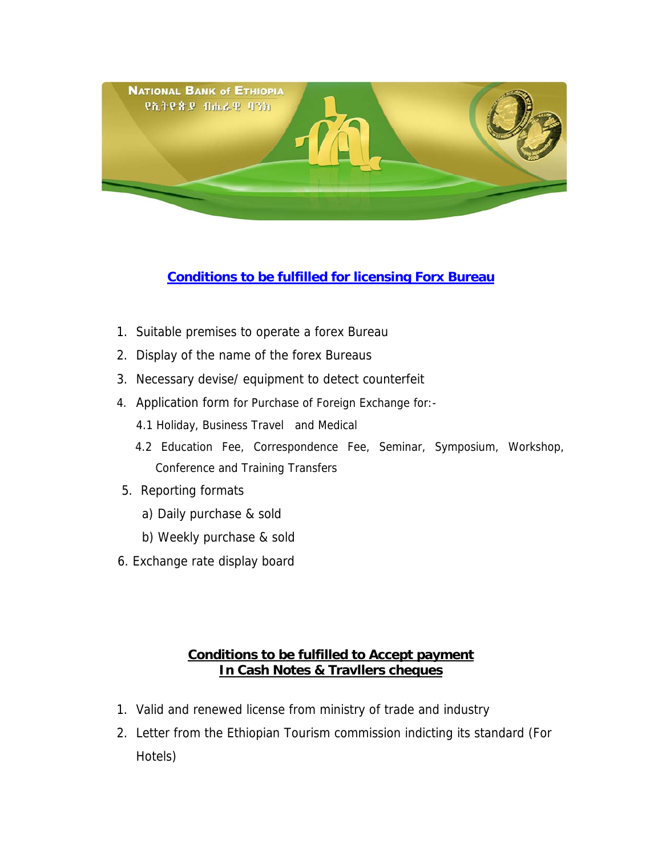

## **Conditions to be fulfilled for licensing Forx Bureau**

- 1. Suitable premises to operate a forex Bureau
- 2. Display of the name of the forex Bureaus
- 3. Necessary devise/ equipment to detect counterfeit
- 4. Application form for Purchase of Foreign Exchange for:-
	- 4.1 Holiday, Business Travel and Medical
	- 4.2 Education Fee, Correspondence Fee, Seminar, Symposium, Workshop, Conference and Training Transfers
- 5. Reporting formats
	- a) Daily purchase & sold
	- b) Weekly purchase & sold
- 6. Exchange rate display board

## **Conditions to be fulfilled to Accept payment In Cash Notes & Travllers cheques**

- 1. Valid and renewed license from ministry of trade and industry
- 2. Letter from the Ethiopian Tourism commission indicting its standard (For Hotels)